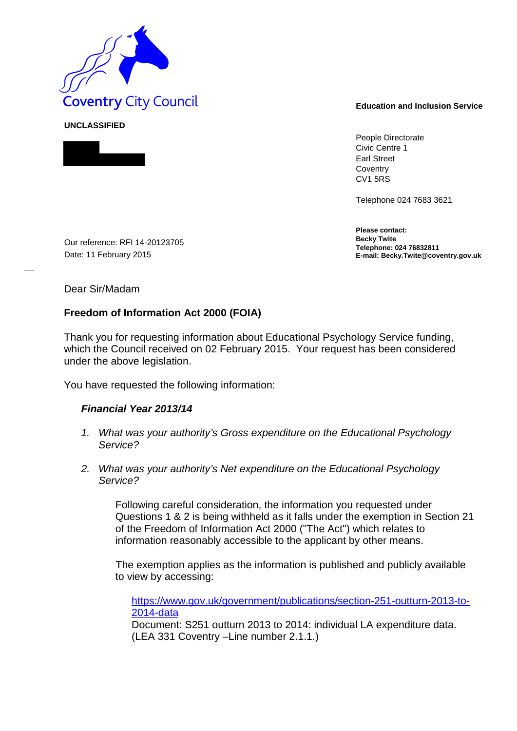

People Directorate Civic Centre 1 Earl Street **Coventry** CV1 5RS

Telephone 024 7683 3621

**Please contact: Becky Twite Telephone: 024 76832811 E-mail: Becky.Twite@coventry.gov.uk** 

Our reference: RFI 14-20123705 Date: 11 February 2015

Dear Sir/Madam

**UNCLASSIFIED** 

## **Freedom of Information Act 2000 (FOIA)**

Thank you for requesting information about Educational Psychology Service funding, which the Council received on 02 February 2015. Your request has been considered under the above legislation.

You have requested the following information:

## *Financial Year 2013/14*

- *1. What was your authority's Gross expenditure on the Educational Psychology Service?*
- *2. What was your authority's Net expenditure on the Educational Psychology Service?*

Following careful consideration, the information you requested under Questions 1 & 2 is being withheld as it falls under the exemption in Section 21 of the Freedom of Information Act 2000 ("The Act") which relates to information reasonably accessible to the applicant by other means.

The exemption applies as the information is published and publicly available to view by accessing:

https://www.gov.uk/government/publications/section-251-outturn-2013-to-2014-data

Document: S251 outturn 2013 to 2014: individual LA expenditure data. (LEA 331 Coventry –Line number 2.1.1.)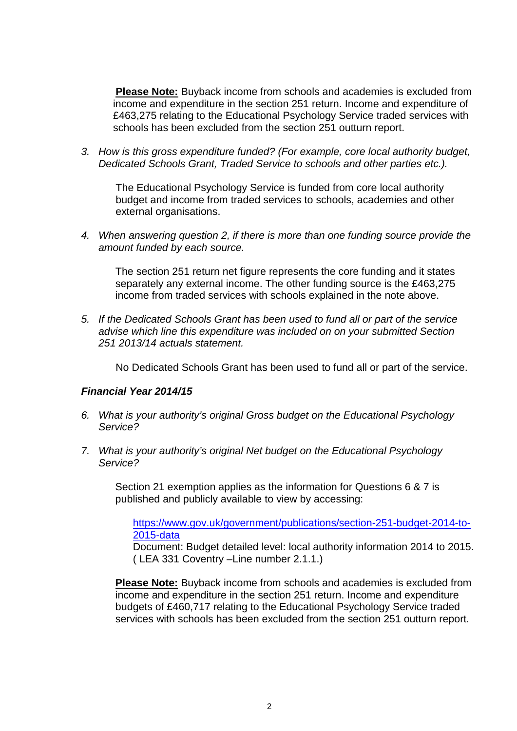**Please Note:** Buyback income from schools and academies is excluded from income and expenditure in the section 251 return. Income and expenditure of £463,275 relating to the Educational Psychology Service traded services with schools has been excluded from the section 251 outturn report.

*3. How is this gross expenditure funded? (For example, core local authority budget, Dedicated Schools Grant, Traded Service to schools and other parties etc.).*

The Educational Psychology Service is funded from core local authority budget and income from traded services to schools, academies and other external organisations.

*4. When answering question 2, if there is more than one funding source provide the amount funded by each source.*

The section 251 return net figure represents the core funding and it states separately any external income. The other funding source is the £463,275 income from traded services with schools explained in the note above.

*5. If the Dedicated Schools Grant has been used to fund all or part of the service advise which line this expenditure was included on on your submitted Section 251 2013/14 actuals statement.*

No Dedicated Schools Grant has been used to fund all or part of the service.

## *Financial Year 2014/15*

- *6. What is your authority's original Gross budget on the Educational Psychology Service?*
- *7. What is your authority's original Net budget on the Educational Psychology Service?*

Section 21 exemption applies as the information for Questions 6 & 7 is published and publicly available to view by accessing:

https://www.gov.uk/government/publications/section-251-budget-2014-to-2015-data

Document: Budget detailed level: local authority information 2014 to 2015. ( LEA 331 Coventry –Line number 2.1.1.)

**Please Note:** Buyback income from schools and academies is excluded from income and expenditure in the section 251 return. Income and expenditure budgets of £460,717 relating to the Educational Psychology Service traded services with schools has been excluded from the section 251 outturn report.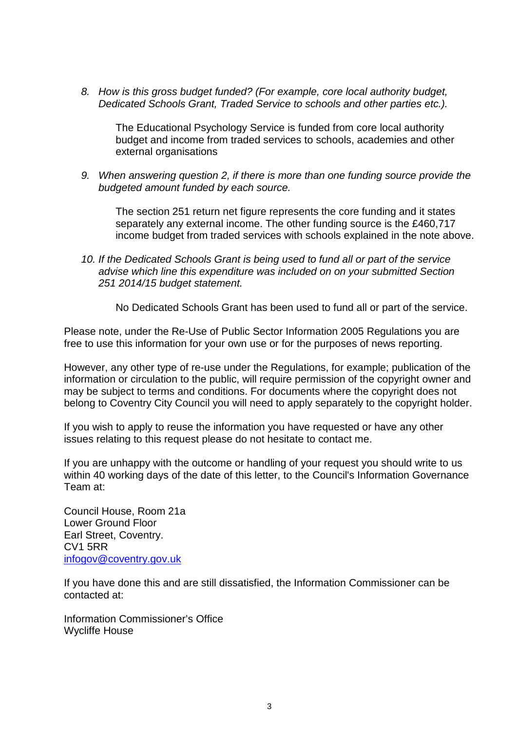*8. How is this gross budget funded? (For example, core local authority budget, Dedicated Schools Grant, Traded Service to schools and other parties etc.).*

The Educational Psychology Service is funded from core local authority budget and income from traded services to schools, academies and other external organisations

*9. When answering question 2, if there is more than one funding source provide the budgeted amount funded by each source.*

The section 251 return net figure represents the core funding and it states separately any external income. The other funding source is the £460,717 income budget from traded services with schools explained in the note above.

*10. If the Dedicated Schools Grant is being used to fund all or part of the service advise which line this expenditure was included on on your submitted Section 251 2014/15 budget statement.*

No Dedicated Schools Grant has been used to fund all or part of the service.

Please note, under the Re-Use of Public Sector Information 2005 Regulations you are free to use this information for your own use or for the purposes of news reporting.

However, any other type of re-use under the Regulations, for example; publication of the information or circulation to the public, will require permission of the copyright owner and may be subject to terms and conditions. For documents where the copyright does not belong to Coventry City Council you will need to apply separately to the copyright holder.

If you wish to apply to reuse the information you have requested or have any other issues relating to this request please do not hesitate to contact me.

If you are unhappy with the outcome or handling of your request you should write to us within 40 working days of the date of this letter, to the Council's Information Governance Team at:

Council House, Room 21a Lower Ground Floor Earl Street, Coventry. CV1 5RR infogov@coventry.gov.uk

If you have done this and are still dissatisfied, the Information Commissioner can be contacted at:

Information Commissioner's Office Wycliffe House